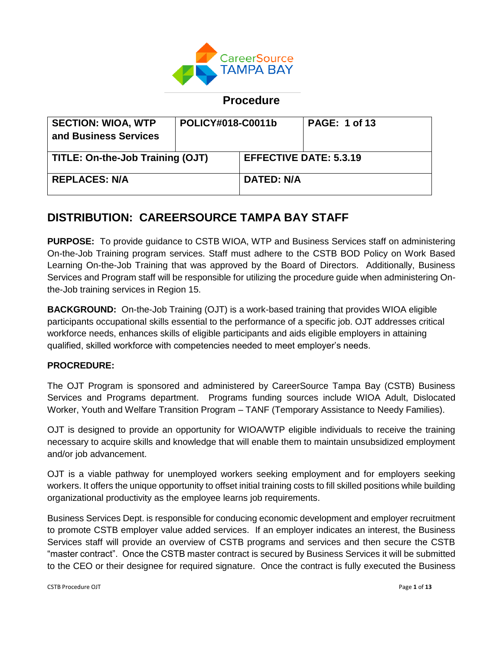

# **Procedure**

| <b>SECTION: WIOA, WTP</b><br>and Business Services | POLICY#018-C0011b |                               | <b>PAGE: 1 of 13</b> |
|----------------------------------------------------|-------------------|-------------------------------|----------------------|
| <b>TITLE: On-the-Job Training (OJT)</b>            |                   | <b>EFFECTIVE DATE: 5.3.19</b> |                      |
| <b>REPLACES: N/A</b>                               |                   | <b>DATED: N/A</b>             |                      |

# **DISTRIBUTION: CAREERSOURCE TAMPA BAY STAFF**

**PURPOSE:** To provide guidance to CSTB WIOA, WTP and Business Services staff on administering On-the-Job Training program services. Staff must adhere to the CSTB BOD Policy on Work Based Learning On-the-Job Training that was approved by the Board of Directors. Additionally, Business Services and Program staff will be responsible for utilizing the procedure guide when administering Onthe-Job training services in Region 15.

**BACKGROUND:** On-the-Job Training (OJT) is a work-based training that provides WIOA eligible participants occupational skills essential to the performance of a specific job. OJT addresses critical workforce needs, enhances skills of eligible participants and aids eligible employers in attaining qualified, skilled workforce with competencies needed to meet employer's needs.

#### **PROCREDURE:**

The OJT Program is sponsored and administered by CareerSource Tampa Bay (CSTB) Business Services and Programs department. Programs funding sources include WIOA Adult, Dislocated Worker, Youth and Welfare Transition Program – TANF (Temporary Assistance to Needy Families).

OJT is designed to provide an opportunity for WIOA/WTP eligible individuals to receive the training necessary to acquire skills and knowledge that will enable them to maintain unsubsidized employment and/or job advancement.

OJT is a viable pathway for unemployed workers seeking employment and for employers seeking workers. It offers the unique opportunity to offset initial training costs to fill skilled positions while building organizational productivity as the employee learns job requirements.

Business Services Dept. is responsible for conducing economic development and employer recruitment to promote CSTB employer value added services. If an employer indicates an interest, the Business Services staff will provide an overview of CSTB programs and services and then secure the CSTB "master contract". Once the CSTB master contract is secured by Business Services it will be submitted to the CEO or their designee for required signature. Once the contract is fully executed the Business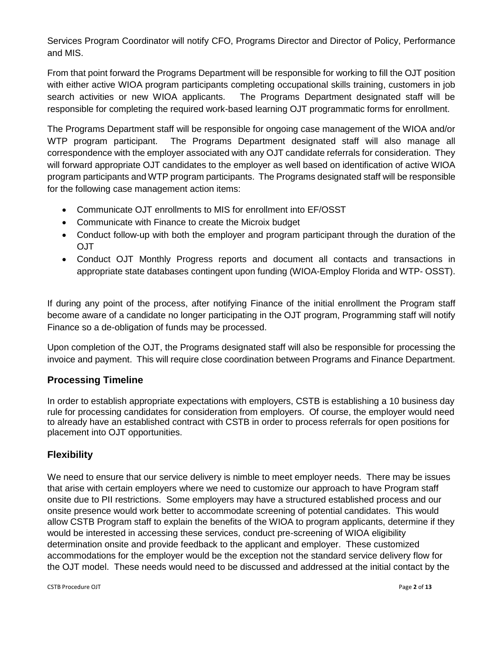Services Program Coordinator will notify CFO, Programs Director and Director of Policy, Performance and MIS.

From that point forward the Programs Department will be responsible for working to fill the OJT position with either active WIOA program participants completing occupational skills training, customers in job search activities or new WIOA applicants. The Programs Department designated staff will be responsible for completing the required work-based learning OJT programmatic forms for enrollment.

The Programs Department staff will be responsible for ongoing case management of the WIOA and/or WTP program participant. The Programs Department designated staff will also manage all correspondence with the employer associated with any OJT candidate referrals for consideration. They will forward appropriate OJT candidates to the employer as well based on identification of active WIOA program participants and WTP program participants. The Programs designated staff will be responsible for the following case management action items:

- Communicate OJT enrollments to MIS for enrollment into EF/OSST
- Communicate with Finance to create the Microix budget
- Conduct follow-up with both the employer and program participant through the duration of the OJT
- Conduct OJT Monthly Progress reports and document all contacts and transactions in appropriate state databases contingent upon funding (WIOA-Employ Florida and WTP- OSST).

If during any point of the process, after notifying Finance of the initial enrollment the Program staff become aware of a candidate no longer participating in the OJT program, Programming staff will notify Finance so a de-obligation of funds may be processed.

Upon completion of the OJT, the Programs designated staff will also be responsible for processing the invoice and payment. This will require close coordination between Programs and Finance Department.

# **Processing Timeline**

In order to establish appropriate expectations with employers, CSTB is establishing a 10 business day rule for processing candidates for consideration from employers. Of course, the employer would need to already have an established contract with CSTB in order to process referrals for open positions for placement into OJT opportunities.

#### **Flexibility**

We need to ensure that our service delivery is nimble to meet employer needs. There may be issues that arise with certain employers where we need to customize our approach to have Program staff onsite due to PII restrictions. Some employers may have a structured established process and our onsite presence would work better to accommodate screening of potential candidates. This would allow CSTB Program staff to explain the benefits of the WIOA to program applicants, determine if they would be interested in accessing these services, conduct pre-screening of WIOA eligibility determination onsite and provide feedback to the applicant and employer. These customized accommodations for the employer would be the exception not the standard service delivery flow for the OJT model. These needs would need to be discussed and addressed at the initial contact by the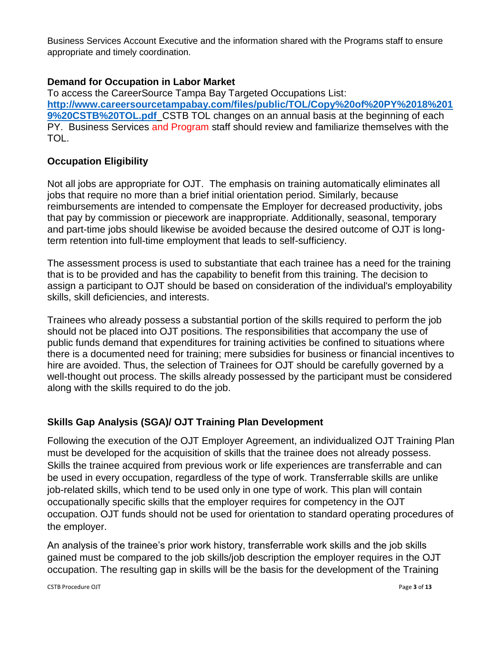Business Services Account Executive and the information shared with the Programs staff to ensure appropriate and timely coordination.

### **Demand for Occupation in Labor Market**

To access the CareerSource Tampa Bay Targeted Occupations List: **[http://www.careersourcetampabay.com/files/public/TOL/Copy%20of%20PY%2018%201](http://www.careersourcetampabay.com/files/public/TOL/Copy%20of%20PY%2018%2019%20CSTB%20TOL.pdf) [9%20CSTB%20TOL.pdf](http://www.careersourcetampabay.com/files/public/TOL/Copy%20of%20PY%2018%2019%20CSTB%20TOL.pdf)** CSTB TOL changes on an annual basis at the beginning of each PY. Business Services and Program staff should review and familiarize themselves with the TOL.

#### **Occupation Eligibility**

Not all jobs are appropriate for OJT.The emphasis on training automatically eliminates all jobs that require no more than a brief initial orientation period. Similarly, because reimbursements are intended to compensate the Employer for decreased productivity, jobs that pay by commission or piecework are inappropriate. Additionally, seasonal, temporary and part-time jobs should likewise be avoided because the desired outcome of OJT is longterm retention into full-time employment that leads to self-sufficiency.

The assessment process is used to substantiate that each trainee has a need for the training that is to be provided and has the capability to benefit from this training. The decision to assign a participant to OJT should be based on consideration of the individual's employability skills, skill deficiencies, and interests.

Trainees who already possess a substantial portion of the skills required to perform the job should not be placed into OJT positions. The responsibilities that accompany the use of public funds demand that expenditures for training activities be confined to situations where there is a documented need for training; mere subsidies for business or financial incentives to hire are avoided. Thus, the selection of Trainees for OJT should be carefully governed by a well-thought out process. The skills already possessed by the participant must be considered along with the skills required to do the job.

# **Skills Gap Analysis (SGA)/ OJT Training Plan Development**

Following the execution of the OJT Employer Agreement, an individualized OJT Training Plan must be developed for the acquisition of skills that the trainee does not already possess. Skills the trainee acquired from previous work or life experiences are transferrable and can be used in every occupation, regardless of the type of work. Transferrable skills are unlike job-related skills, which tend to be used only in one type of work. This plan will contain occupationally specific skills that the employer requires for competency in the OJT occupation. OJT funds should not be used for orientation to standard operating procedures of the employer.

An analysis of the trainee's prior work history, transferrable work skills and the job skills gained must be compared to the job skills/job description the employer requires in the OJT occupation. The resulting gap in skills will be the basis for the development of the Training

CSTB Procedure OJT Page **3** of **13**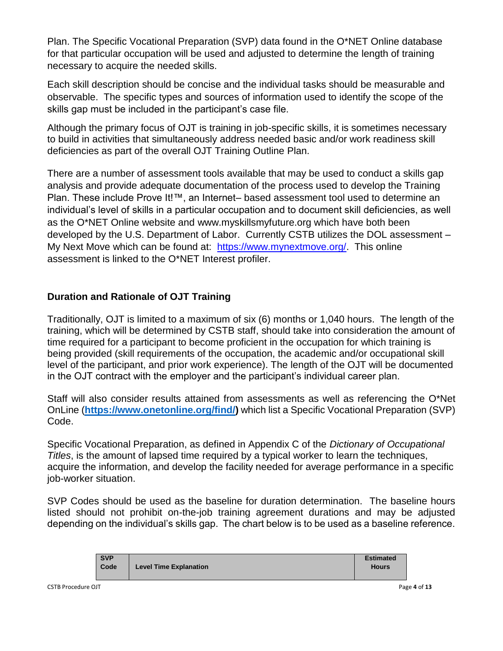Plan. The Specific Vocational Preparation (SVP) data found in the O\*NET Online database for that particular occupation will be used and adjusted to determine the length of training necessary to acquire the needed skills.

Each skill description should be concise and the individual tasks should be measurable and observable. The specific types and sources of information used to identify the scope of the skills gap must be included in the participant's case file.

Although the primary focus of OJT is training in job-specific skills, it is sometimes necessary to build in activities that simultaneously address needed basic and/or work readiness skill deficiencies as part of the overall OJT Training Outline Plan.

There are a number of assessment tools available that may be used to conduct a skills gap analysis and provide adequate documentation of the process used to develop the Training Plan. These include Prove It!™, an Internet– based assessment tool used to determine an individual's level of skills in a particular occupation and to document skill deficiencies, as well as the O\*NET Online website and www.myskillsmyfuture.org which have both been developed by the U.S. Department of Labor. Currently CSTB utilizes the DOL assessment – My Next Move which can be found at: [https://www.mynextmove.org/.](https://www.mynextmove.org/) This online assessment is linked to the O\*NET Interest profiler.

# **Duration and Rationale of OJT Training**

Traditionally, OJT is limited to a maximum of six (6) months or 1,040 hours. The length of the training, which will be determined by CSTB staff, should take into consideration the amount of time required for a participant to become proficient in the occupation for which training is being provided (skill requirements of the occupation, the academic and/or occupational skill level of the participant, and prior work experience). The length of the OJT will be documented in the OJT contract with the employer and the participant's individual career plan.

Staff will also consider results attained from assessments as well as referencing the O\*Net OnLine (**[https://www.onetonline.org/find/\)](https://www.onetonline.org/find/)** which list a Specific Vocational Preparation (SVP) Code.

Specific Vocational Preparation, as defined in Appendix C of the *Dictionary of Occupational Titles*, is the amount of lapsed time required by a typical worker to learn the techniques, acquire the information, and develop the facility needed for average performance in a specific job-worker situation.

SVP Codes should be used as the baseline for duration determination. The baseline hours listed should not prohibit on-the-job training agreement durations and may be adjusted depending on the individual's skills gap. The chart below is to be used as a baseline reference.

| <b>SVP</b><br>Code | <b>Level Time Explanation</b> | <b>Estimated</b><br><b>Hours</b> |
|--------------------|-------------------------------|----------------------------------|
|--------------------|-------------------------------|----------------------------------|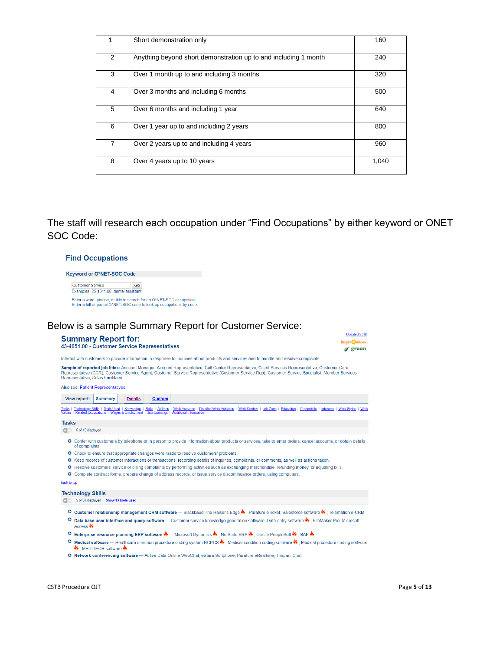|                | Short demonstration only                                        | 160   |
|----------------|-----------------------------------------------------------------|-------|
|                |                                                                 |       |
| 2              | Anything beyond short demonstration up to and including 1 month | 240   |
|                |                                                                 |       |
| 3              | Over 1 month up to and including 3 months                       | 320   |
|                |                                                                 |       |
| 4              | Over 3 months and including 6 months                            | 500   |
|                |                                                                 |       |
| 5              | Over 6 months and including 1 year                              | 640   |
|                |                                                                 |       |
| 6              | Over 1 year up to and including 2 years                         | 800   |
|                |                                                                 |       |
| $\overline{7}$ | Over 2 years up to and including 4 years                        | 960   |
|                |                                                                 |       |
| 8              | Over 4 years up to 10 years                                     | 1,040 |
|                |                                                                 |       |
|                |                                                                 |       |

The staff will research each occupation under "Find Occupations" by either keyword or ONET SOC Code:

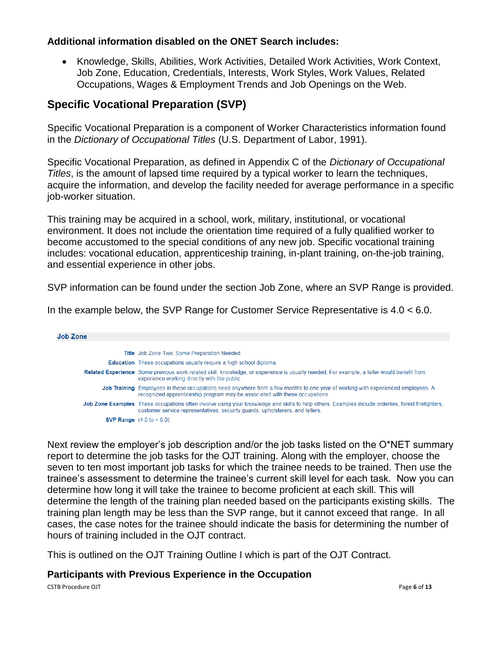#### **Additional information disabled on the ONET Search includes:**

• Knowledge, Skills, Abilities, Work Activities, Detailed Work Activities, Work Context, Job Zone, Education, Credentials, Interests, Work Styles, Work Values, Related Occupations, Wages & Employment Trends and Job Openings on the Web.

# **Specific Vocational Preparation (SVP)**

Specific Vocational Preparation is a component of Worker Characteristics information found in the *Dictionary of Occupational Titles* (U.S. Department of Labor, 1991).

Specific Vocational Preparation, as defined in Appendix C of the *Dictionary of Occupational Titles*, is the amount of lapsed time required by a typical worker to learn the techniques, acquire the information, and develop the facility needed for average performance in a specific job-worker situation.

This training may be acquired in a school, work, military, institutional, or vocational environment. It does not include the orientation time required of a fully qualified worker to become accustomed to the special conditions of any new job. Specific vocational training includes: vocational education, apprenticeship training, in-plant training, on-the-job training, and essential experience in other jobs.

SVP information can be found under the section Job Zone, where an SVP Range is provided.

In the example below, the SVP Range for Customer Service Representative is 4.0 < 6.0.

| Job Zone |                                                                                                                                                                                                                                     |
|----------|-------------------------------------------------------------------------------------------------------------------------------------------------------------------------------------------------------------------------------------|
|          |                                                                                                                                                                                                                                     |
|          | <b>Title</b> Job Zone Two: Some Preparation Needed                                                                                                                                                                                  |
|          | <b>Education</b> These occupations usually require a high school diploma.                                                                                                                                                           |
|          | Related Experience Some previous work-related skill, knowledge, or experience is usually needed. For example, a teller would benefit from<br>experience working directly with the public.                                           |
|          | Job Training Employees in these occupations need anywhere from a few months to one year of working with experienced employees. A<br>recognized apprenticeship program may be associated with these occupations.                     |
|          | Job Zone Examples These occupations often involve using your knowledge and skills to help others. Examples include orderlies, forest firefighters,<br>customer service representatives, security quards, upholsterers, and tellers. |
|          | <b>SVP Range</b> $(4.0 \text{ to } 6.0)$                                                                                                                                                                                            |

Next review the employer's job description and/or the job tasks listed on the O\*NET summary report to determine the job tasks for the OJT training. Along with the employer, choose the seven to ten most important job tasks for which the trainee needs to be trained. Then use the trainee's assessment to determine the trainee's current skill level for each task. Now you can determine how long it will take the trainee to become proficient at each skill. This will determine the length of the training plan needed based on the participants existing skills. The training plan length may be less than the SVP range, but it cannot exceed that range. In all cases, the case notes for the trainee should indicate the basis for determining the number of hours of training included in the OJT contract.

This is outlined on the OJT Training Outline I which is part of the OJT Contract.

#### **Participants with Previous Experience in the Occupation**

CSTB Procedure OJT **Page 6** of **13**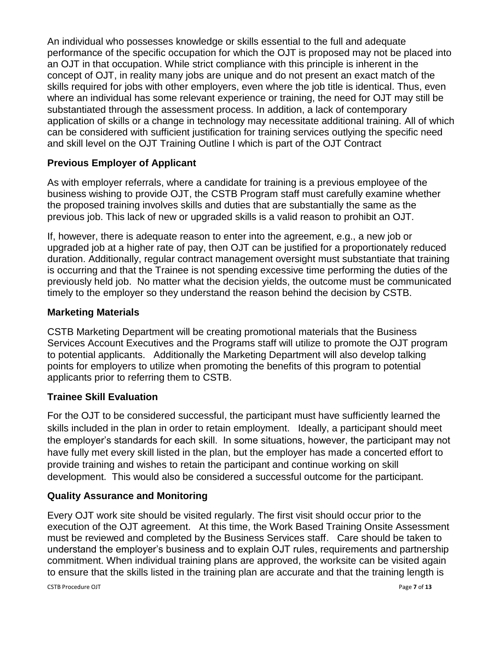An individual who possesses knowledge or skills essential to the full and adequate performance of the specific occupation for which the OJT is proposed may not be placed into an OJT in that occupation. While strict compliance with this principle is inherent in the concept of OJT, in reality many jobs are unique and do not present an exact match of the skills required for jobs with other employers, even where the job title is identical. Thus, even where an individual has some relevant experience or training, the need for OJT may still be substantiated through the assessment process. In addition, a lack of contemporary application of skills or a change in technology may necessitate additional training. All of which can be considered with sufficient justification for training services outlying the specific need and skill level on the OJT Training Outline I which is part of the OJT Contract

### **Previous Employer of Applicant**

As with employer referrals, where a candidate for training is a previous employee of the business wishing to provide OJT, the CSTB Program staff must carefully examine whether the proposed training involves skills and duties that are substantially the same as the previous job. This lack of new or upgraded skills is a valid reason to prohibit an OJT.

If, however, there is adequate reason to enter into the agreement, e.g., a new job or upgraded job at a higher rate of pay, then OJT can be justified for a proportionately reduced duration. Additionally, regular contract management oversight must substantiate that training is occurring and that the Trainee is not spending excessive time performing the duties of the previously held job. No matter what the decision yields, the outcome must be communicated timely to the employer so they understand the reason behind the decision by CSTB.

### **Marketing Materials**

CSTB Marketing Department will be creating promotional materials that the Business Services Account Executives and the Programs staff will utilize to promote the OJT program to potential applicants. Additionally the Marketing Department will also develop talking points for employers to utilize when promoting the benefits of this program to potential applicants prior to referring them to CSTB.

# **Trainee Skill Evaluation**

For the OJT to be considered successful, the participant must have sufficiently learned the skills included in the plan in order to retain employment. Ideally, a participant should meet the employer's standards for each skill. In some situations, however, the participant may not have fully met every skill listed in the plan, but the employer has made a concerted effort to provide training and wishes to retain the participant and continue working on skill development. This would also be considered a successful outcome for the participant.

#### **Quality Assurance and Monitoring**

Every OJT work site should be visited regularly. The first visit should occur prior to the execution of the OJT agreement. At this time, the Work Based Training Onsite Assessment must be reviewed and completed by the Business Services staff. Care should be taken to understand the employer's business and to explain OJT rules, requirements and partnership commitment. When individual training plans are approved, the worksite can be visited again to ensure that the skills listed in the training plan are accurate and that the training length is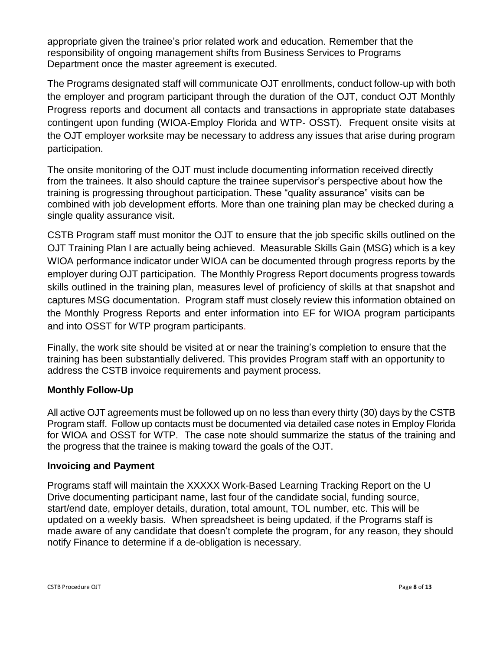appropriate given the trainee's prior related work and education. Remember that the responsibility of ongoing management shifts from Business Services to Programs Department once the master agreement is executed.

The Programs designated staff will communicate OJT enrollments, conduct follow-up with both the employer and program participant through the duration of the OJT, conduct OJT Monthly Progress reports and document all contacts and transactions in appropriate state databases contingent upon funding (WIOA-Employ Florida and WTP- OSST). Frequent onsite visits at the OJT employer worksite may be necessary to address any issues that arise during program participation.

The onsite monitoring of the OJT must include documenting information received directly from the trainees. It also should capture the trainee supervisor's perspective about how the training is progressing throughout participation. These "quality assurance" visits can be combined with job development efforts. More than one training plan may be checked during a single quality assurance visit.

CSTB Program staff must monitor the OJT to ensure that the job specific skills outlined on the OJT Training Plan I are actually being achieved. Measurable Skills Gain (MSG) which is a key WIOA performance indicator under WIOA can be documented through progress reports by the employer during OJT participation. The Monthly Progress Report documents progress towards skills outlined in the training plan, measures level of proficiency of skills at that snapshot and captures MSG documentation. Program staff must closely review this information obtained on the Monthly Progress Reports and enter information into EF for WIOA program participants and into OSST for WTP program participants.

Finally, the work site should be visited at or near the training's completion to ensure that the training has been substantially delivered. This provides Program staff with an opportunity to address the CSTB invoice requirements and payment process.

# **Monthly Follow-Up**

All active OJT agreements must be followed up on no less than every thirty (30) days by the CSTB Program staff. Follow up contacts must be documented via detailed case notes in Employ Florida for WIOA and OSST for WTP. The case note should summarize the status of the training and the progress that the trainee is making toward the goals of the OJT.

#### **Invoicing and Payment**

Programs staff will maintain the XXXXX Work-Based Learning Tracking Report on the U Drive documenting participant name, last four of the candidate social, funding source, start/end date, employer details, duration, total amount, TOL number, etc. This will be updated on a weekly basis. When spreadsheet is being updated, if the Programs staff is made aware of any candidate that doesn't complete the program, for any reason, they should notify Finance to determine if a de-obligation is necessary.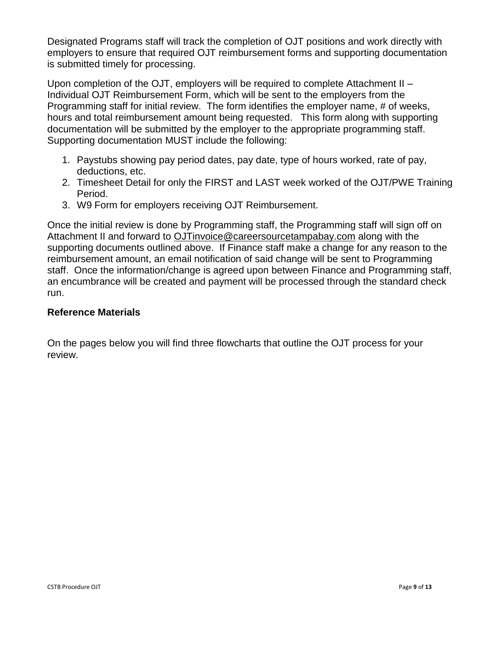Designated Programs staff will track the completion of OJT positions and work directly with employers to ensure that required OJT reimbursement forms and supporting documentation is submitted timely for processing.

Upon completion of the OJT, employers will be required to complete Attachment II – Individual OJT Reimbursement Form, which will be sent to the employers from the Programming staff for initial review. The form identifies the employer name, # of weeks, hours and total reimbursement amount being requested. This form along with supporting documentation will be submitted by the employer to the appropriate programming staff. Supporting documentation MUST include the following:

- 1. Paystubs showing pay period dates, pay date, type of hours worked, rate of pay, deductions, etc.
- 2. Timesheet Detail for only the FIRST and LAST week worked of the OJT/PWE Training Period.
- 3. W9 Form for employers receiving OJT Reimbursement.

Once the initial review is done by Programming staff, the Programming staff will sign off on Attachment II and forward to [OJTinvoice@careersourcetampabay.com](mailto:OJTinvoice@careersourcetampabay.com) along with the supporting documents outlined above. If Finance staff make a change for any reason to the reimbursement amount, an email notification of said change will be sent to Programming staff. Once the information/change is agreed upon between Finance and Programming staff, an encumbrance will be created and payment will be processed through the standard check run.

### **Reference Materials**

On the pages below you will find three flowcharts that outline the OJT process for your review.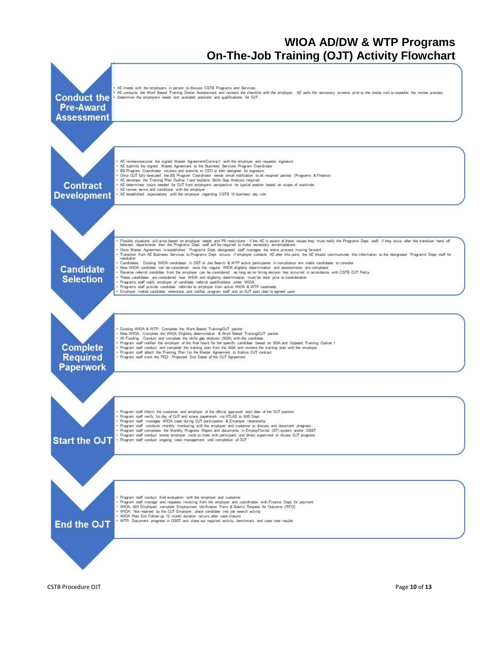# **WIOA AD/DW & WTP Programs On-The-Job Training (OJT) Activity Flowchart**

![](_page_9_Figure_1.jpeg)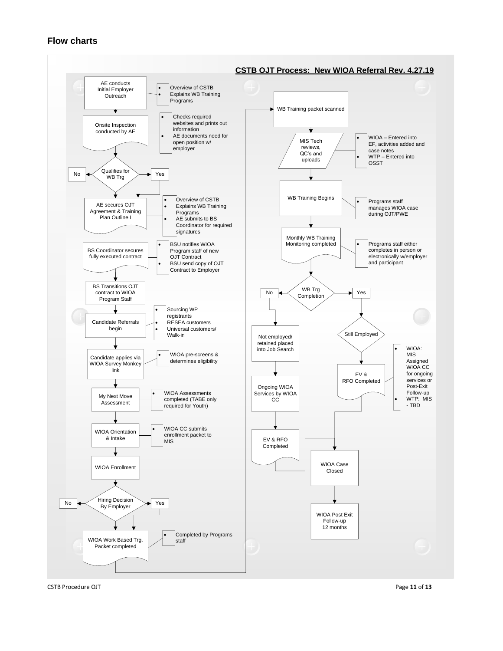#### **Flow charts**

![](_page_10_Figure_1.jpeg)

CSTB Procedure OJT Page **11** of **13**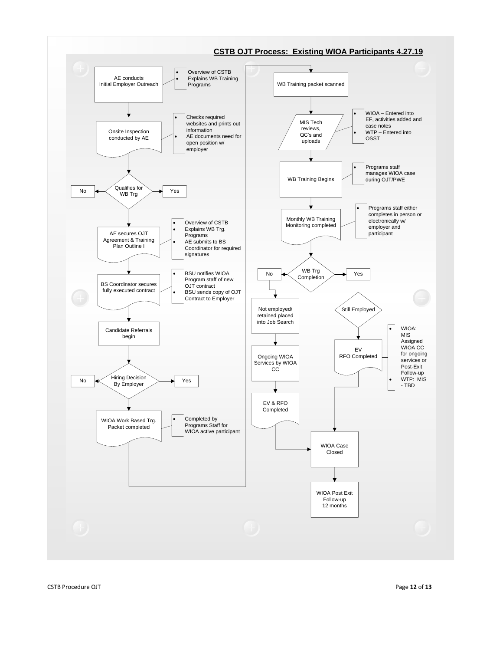![](_page_11_Figure_0.jpeg)